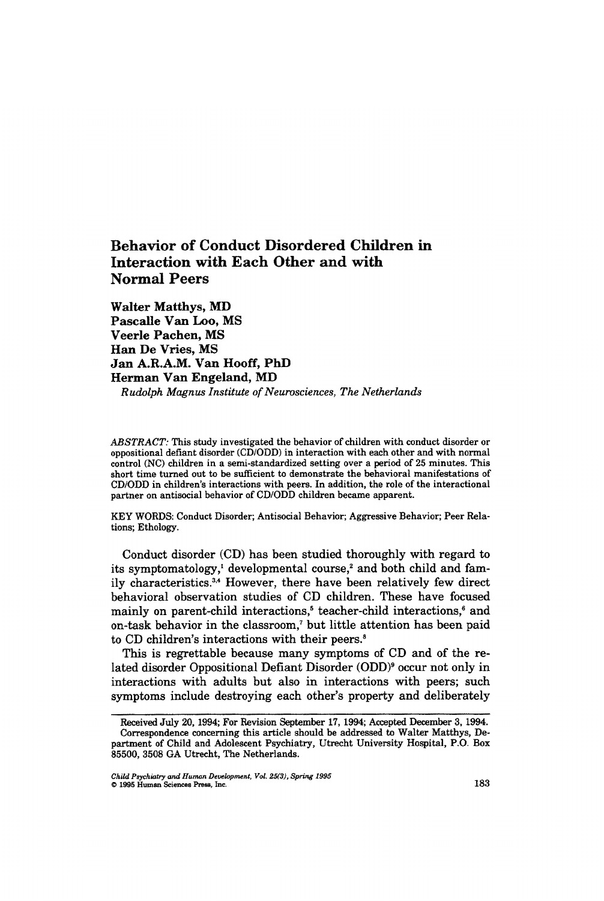# Behavior of Conduct Disordered Children in Interaction with Each Other and with Normal Peers

**Walter** Matthys, MD Pascalle Van Loo, MS Veerle Pachen, MS Han De Vries, MS **Jan A.R.A.M. Van Hooff,** PhD Herman Van Engeland, MD *Rudolph Magnus Institute of Neurosciences, The Netherlands* 

*ABSTRACT:* This study investigated the behavior of children with conduct disorder or oppositional defiant disorder (CD/ODD) in interaction with each other and with normal control (NC) children in a semi-standardized setting over a period of 25 minutes. This short time turned out to be sufficient to demonstrate the behavioral manifestations of CD/ODD in children's interactions with peers. In addition, the role of the interactional partner on antisocial behavior of CD/ODD children became apparent.

KEY WORDS: Conduct Disorder; Antisocial Behavior; Aggressive Behavior; Peer Relations; Ethology.

Conduct disorder (CD) has been studied thoroughly with regard to its symptomatology,<sup>1</sup> developmental course,<sup>2</sup> and both child and family characteristics.<sup>3,4</sup> However, there have been relatively few direct behavioral observation studies of CD children. These have focused mainly on parent-child interactions,<sup>5</sup> teacher-child interactions,<sup>6</sup> and on-task behavior in the classroom,<sup>7</sup> but little attention has been paid to CD children's interactions with their peers.<sup>8</sup>

This is regrettable because many symptoms of CD and of the related disorder Oppositional Defiant Disorder (ODD)<sup>9</sup> occur not only in interactions with adults but also in interactions with peers; such symptoms include destroying each other's property and deliberately

Received July 20, 1994; For Revision September 17, 1994; Accepted December 3, 1994. Correspondence concerning this article should be addressed to Walter Matthys, Department of Child and Adolescent Psychiatry, Utrecht University Hospital, P.O. Box 85500, 3508 GA Utrecht, The Netherlands.

*Child Psychiatry and Human Development, Vol. 25(3), Spring 1995*  © 1995 Human Sciences Press, Inc. 183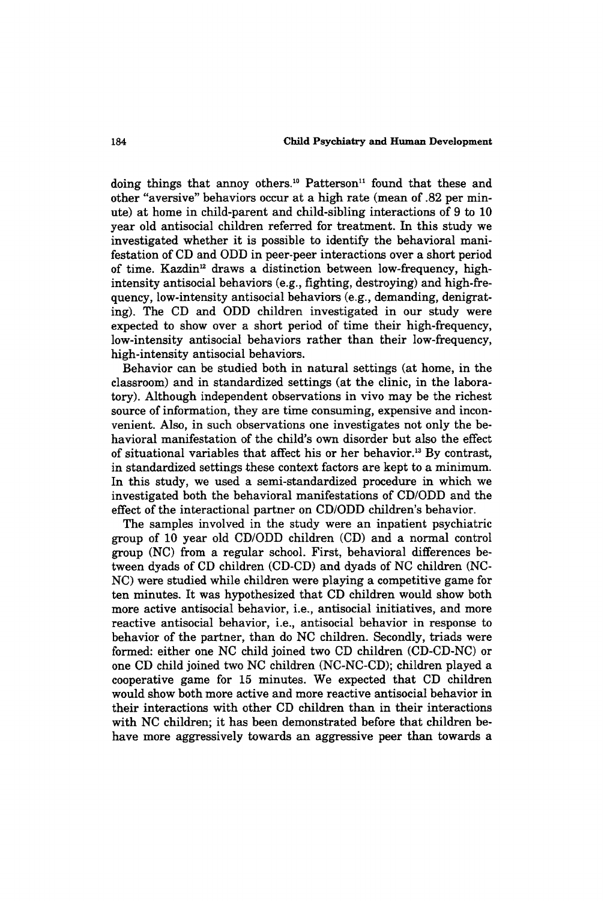doing things that annoy others.<sup>10</sup> Patterson<sup>11</sup> found that these and other "aversive" behaviors occur at a high rate (mean of .82 per minute) at home in child-parent and child-sibling interactions of 9 to 10 year old antisocial children referred for treatment. In this study we investigated whether it is possible to identify the behavioral manifestation of CD and ODD in peer-peer interactions over a short period of time. Kazdin<sup>12</sup> draws a distinction between low-frequency, highintensity antisocial behaviors (e.g., fighting, destroying) and high-frequency, low-intensity antisocial behaviors (e.g., demanding, denigrating). The CD and ODD children investigated in our study were expected to show over a short period of time their high-frequency, low-intensity antisocial behaviors rather than their low-frequency, high-intensity antisocial behaviors.

Behavior can be studied both in natural settings (at home, in the classroom) and in standardized settings (at the clinic, in the laboratory). Although independent observations in vivo may be the richest source of information, they are time consuming, expensive and inconvenient. Also, in such observations one investigates not only the behavioral manifestation of the child's own disorder but also the effect of situational variables that affect his or her behavior.<sup>13</sup> By contrast, in standardized settings these context factors are kept to a minimum. In this study, we used a semi-standardized procedure in which we investigated both the behavioral manifestations of CD/ODD and the effect of the interactional partner on CD/ODD children's behavior.

The samples involved in the study were an inpatient psychiatric group of 10 year old CD/ODD children (CD) and a normal control group (NC) from a regular school. First, behavioral differences between dyads of CD children (CD-CD) and dyads of NC children (NC-NC) were studied while children were playing a competitive game for ten minutes. It was hypothesized that CD children would show both more active antisocial behavior, i.e., antisocial initiatives, and more reactive antisocial behavior, i.e., antisocial behavior in response to behavior of the partner, than do NC children. Secondly, triads were formed: either one NC child joined two CD children (CD-CD-NC) or one CD child joined two NC children (NC-NC-CD); children played a cooperative game for 15 minutes. We expected that CD children would show both more active and more reactive antisocial behavior in their interactions with other CD children than in their interactions with NC children; it has been demonstrated before that children behave more aggressively towards an aggressive peer than towards a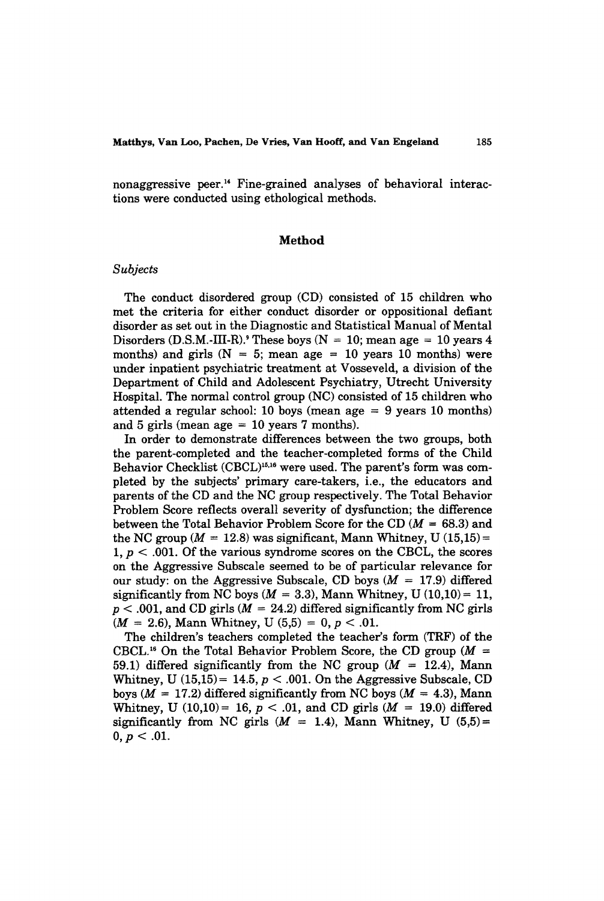nonaggressive peer.<sup>14</sup> Fine-grained analyses of behavioral interactions were conducted using ethological methods.

#### **Method**

# *Subjects*

The conduct disordered group (CD) consisted of 15 children who met the criteria for either conduct disorder or oppositional defiant disorder as set out in the Diagnostic and Statistical Manual of Mental Disorders  $(D.S.M.-III-R.)$ <sup>9</sup> These boys  $(N = 10;$  mean age  $= 10$  years 4 months) and girls  $(N = 5$ ; mean age = 10 years 10 months) were under inpatient psychiatric treatment at Vosseveld, a division of the Department of Child and Adolescent Psychiatry, Utrecht University Hospital. The normal control group (NC) consisted of 15 children who attended a regular school: 10 boys (mean age  $= 9$  years 10 months) and 5 girls (mean age  $= 10$  years 7 months).

In order to demonstrate differences between the two groups, both the parent-completed and the teacher-completed forms of the Child Behavior Checklist (CBCL)<sup>15,16</sup> were used. The parent's form was completed by the subjects' primary care-takers, i.e., the educators and parents of the CD and the NC group respectively. The Total Behavior Problem Score reflects overall severity of dysfunction; the difference between the Total Behavior Problem Score for the CD  $(M = 68.3)$  and the NC group ( $M = 12.8$ ) was significant, Mann Whitney, U (15,15)= 1,  $p < .001$ . Of the various syndrome scores on the CBCL, the scores on the Aggressive Subscale seemed to be of particular relevance for our study: on the Aggressive Subscale, CD boys  $(M = 17.9)$  differed significantly from NC boys ( $M = 3.3$ ), Mann Whitney, U (10,10) = 11,  $p < .001$ , and CD girls ( $M = 24.2$ ) differed significantly from NC girls  $(M = 2.6)$ , Mann Whitney, U  $(5.5) = 0$ ,  $p < .01$ .

The children's teachers completed the teacher's form (TRF) of the CBCL.<sup>16</sup> On the Total Behavior Problem Score, the CD group ( $M =$ 59.1) differed significantly from the NC group  $(M = 12.4)$ , Mann Whitney, U  $(15,15) = 14.5$ ,  $p < .001$ . On the Aggressive Subscale, CD boys ( $M = 17.2$ ) differed significantly from NC boys ( $M = 4.3$ ), Mann Whitney, U  $(10,10) = 16$ ,  $p < .01$ , and CD girls  $(M = 19.0)$  differed significantly from NC girls  $(M = 1.4)$ , Mann Whitney, U  $(5.5)$ =  $0, p < .01.$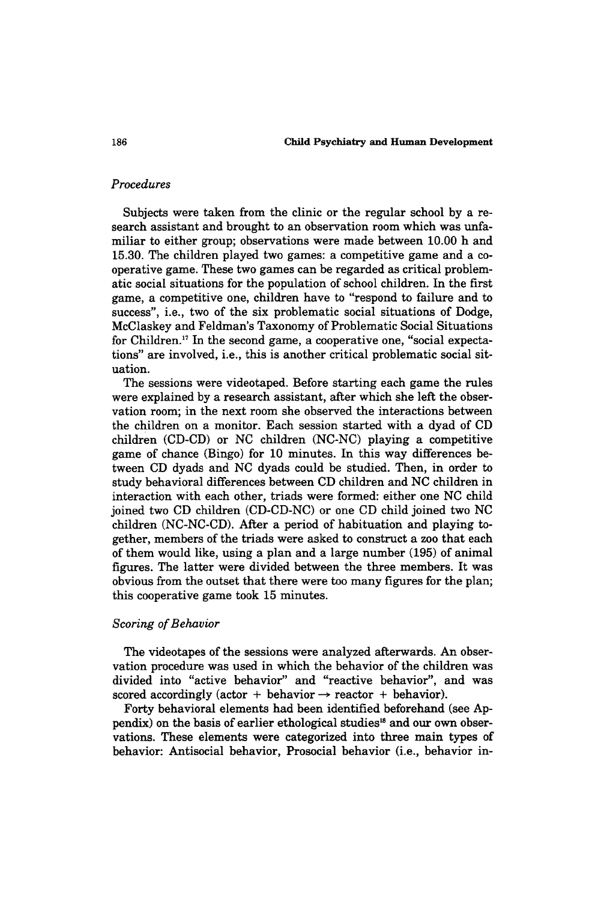# *Procedures*

Subjects were taken from the clinic or the regular school by a research assistant and brought to an observation room which was unfamiliar to either group; observations were made between 10.00 h and 15.30. The children played two games: a competitive game and a cooperative game. These two games can be regarded as critical problematic social situations for the population of school children. In the first game, a competitive one, children have to "respond to failure and to success", i.e., two of the six problematic social situations of Dodge, McClaskey and Feldman's Taxonomy of Problematic Social Situations for Children. 17 In the second game, a cooperative one, "social expectations" are involved, i.e., this is another critical problematic social situation.

The sessions were videotaped. Before starting each game the rules were explained by a research assistant, after which she left the observation room; in the next room she observed the interactions between the children on a monitor. Each session started with a dyad of CD children (CD-CD) or NC children (NC-NC) playing a competitive game of chance (Bingo) for 10 minutes. In this way differences between CD dyads and NC dyads could be studied. Then, in order to study behavioral differences between CD children and NC children in interaction with each other, triads were formed: either one NC child joined two CD children (CD-CD-NC) or one CD child joined two NC children (NC-NC-CD). After a period of habituation and playing together, members of the triads were asked to construct a zoo that each of them would like, using a plan and a large number (195) of animal figures. The latter were divided between the three members. It was obvious from the outset that there were too many figures for the plan; this cooperative game took 15 minutes.

### *Scoring of Behavior*

The videotapes of the sessions were analyzed afterwards. An observation procedure was used in which the behavior of the children was divided into "active behavior" and "reactive behavior", and was scored accordingly (actor + behavior  $\rightarrow$  reactor + behavior).

Forty behavioral elements had been identified beforehand (see Appendix) on the basis of earlier ethological studies<sup>18</sup> and our own observations. These elements were categorized into three main types of behavior: Antisocial behavior, Prosocial behavior (i.e., behavior in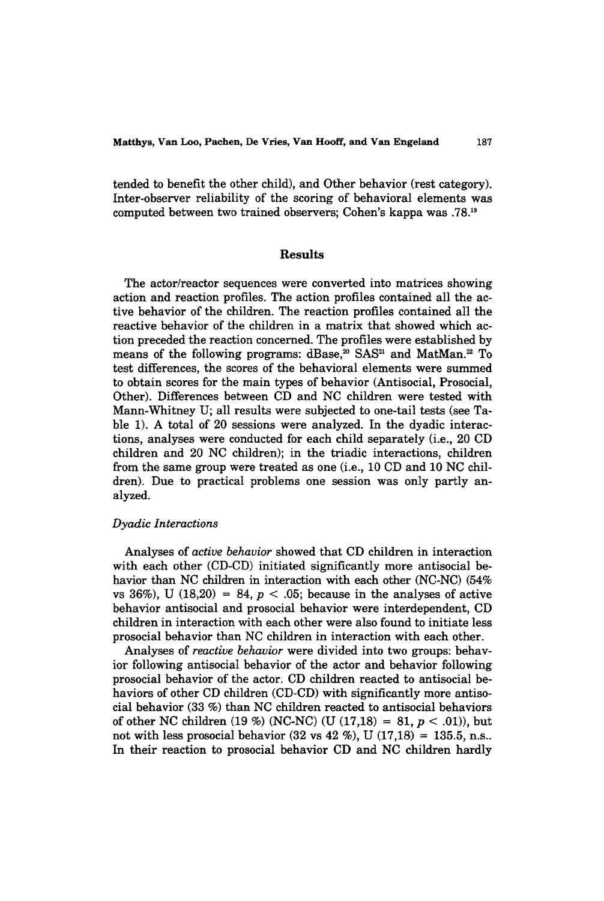tended to benefit the other child), and Other behavior (rest category). Inter-observer reliability of the scoring of behavioral elements was computed between two trained observers; Cohen's kappa was .78.<sup>19</sup>

#### **Results**

The actor/reactor sequences were converted into matrices showing action and reaction profiles. The action profiles contained all the active behavior of the children. The reaction profiles contained all the reactive behavior of the children in a matrix that showed which action preceded the reaction concerned. The profiles were established by means of the following programs:  $dBase<sub>1</sub><sup>20</sup>$  SAS<sup>21</sup> and MatMan.<sup>22</sup> To test differences, the scores of the behavioral elements were summed to obtain scores for the main types of behavior (Antisocial, Prosocial, Other). Differences between CD and NC children were tested with Mann-Whitney U; all results were subjected to one-tail tests (see Table 1). A total of 20 sessions were analyzed. In the dyadic interactions, analyses were conducted for each child separately (i.e., 20 CD children and 20 NC children); in the triadic interactions, children from the same group were treated as one (i.e., 10 CD and 10 NC children). Due to practical problems one session was only partly analyzed.

# *Dyadic Interactions*

Analyses of *active behavior* showed that CD children in interaction with each other (CD-CD) initiated significantly more antisocial behavior than NC children in interaction with each other (NC-NC) (54% vs 36%), U (18,20) = 84,  $p < .05$ ; because in the analyses of active behavior antisocial and prosocial behavior were interdependent, CD children in interaction with each other were also found to initiate less prosocial behavior than NC children in interaction with each other.

Analyses of *reactive behavior* were divided into two groups: behavior following antisocial behavior of the actor and behavior following prosocial behavior of the actor. CD children reacted to antisocial behaviors of other CD children (CD-CD) with significantly more antisocial behavior (33 %) than NC children reacted to antisocial behaviors of other NC children (19 %) (NC-NC) (U (17,18) = 81,  $p < .01$ )), but not with less prosocial behavior  $(32 \text{ vs } 42 \%)$ , U  $(17,18) = 135.5$ , n.s.. In their reaction to prosocial behavior CD and NC children hardly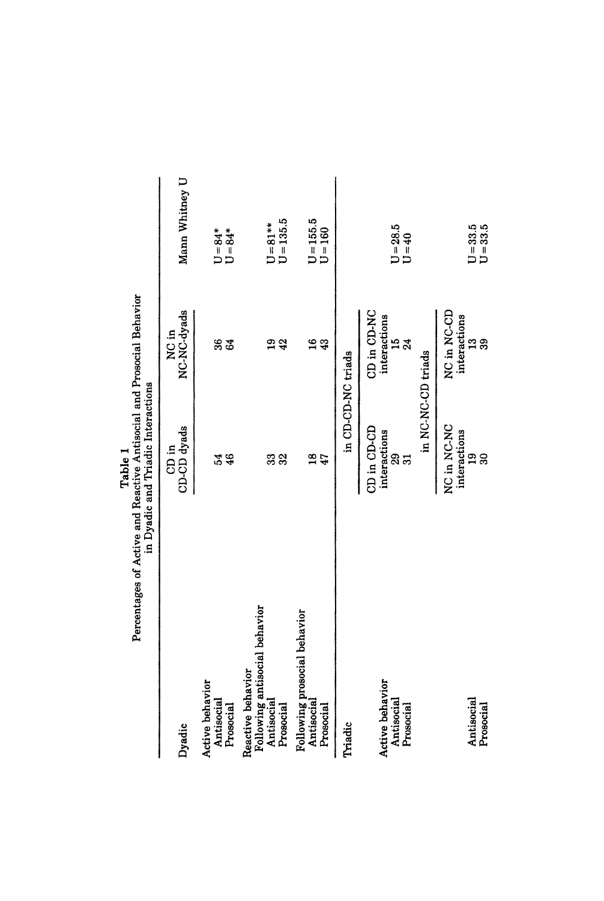| Following antisocial behavior<br>Following prosocial behavior<br>Reactive behavior<br>Active behavior<br>Active behavior<br>Antisocial<br>Antisocial<br>Antisocial<br>Antisocial<br>Prosocial<br>Prosocial<br>Prosocial<br>Prosocial<br>Triadic<br>Dyadic | Percentages of Active and Reactive Antisocial and Prosocial Behavior<br>in NC-NC-CD triads<br>in CD-CD-NC triads<br>in Dyadic and Triadic Interactions<br>CD-CD dyads<br>CD in CD-CD<br>interactions<br>$CD \text{ in}$<br>ನಿ<br>ನಿ ನ<br>46<br>$\mathbf{S}^{\mathbf{C}}$<br>$\frac{8}{18}$<br>47<br>54<br>33 | CD in CD-NC<br>NC-NC-dyads<br>interactions<br>NC in<br>$\overline{5}$<br>$\overline{24}$<br>$\overline{a}$<br>36<br>42<br>$\mathfrak{P}$<br>64<br>$\overline{a}$ | Mann Whitney U<br>$U = 135.5$<br>$U = 155.5$<br>$U = 81***$<br>$U = 28.5$<br>$U = 160$<br>$U = 84*$<br>$U = 84*$<br>$U = 40$ |
|-----------------------------------------------------------------------------------------------------------------------------------------------------------------------------------------------------------------------------------------------------------|--------------------------------------------------------------------------------------------------------------------------------------------------------------------------------------------------------------------------------------------------------------------------------------------------------------|------------------------------------------------------------------------------------------------------------------------------------------------------------------|------------------------------------------------------------------------------------------------------------------------------|
| Antisocial<br>Prosocial                                                                                                                                                                                                                                   | NC in NC-NC<br>interactions<br>$\overline{a}$<br>30                                                                                                                                                                                                                                                          | NC in NC-CD<br>interactions<br>$\frac{3}{2}$<br>39                                                                                                               | $U = 33.5$<br>$U = 33.5$                                                                                                     |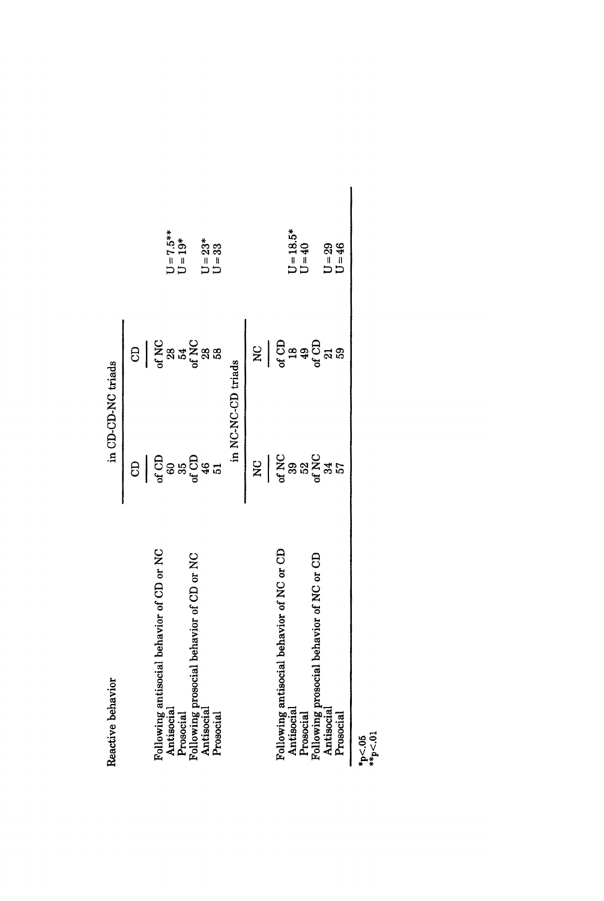| Reactive behavior                         | in CD-CD-NC triads                  |                                                                                                                                                                                                                                                                                                                                     |                                   |
|-------------------------------------------|-------------------------------------|-------------------------------------------------------------------------------------------------------------------------------------------------------------------------------------------------------------------------------------------------------------------------------------------------------------------------------------|-----------------------------------|
|                                           | සි                                  | $\frac{1}{6}$ $\begin{bmatrix} 2 & 0 & 0 \\ 0 & 0 & 0 \\ 0 & 0 & 0 \\ 0 & 0 & 0 \\ 0 & 0 & 0 \\ 0 & 0 & 0 \\ 0 & 0 & 0 \\ 0 & 0 & 0 \\ 0 & 0 & 0 \\ 0 & 0 & 0 \\ 0 & 0 & 0 \\ 0 & 0 & 0 \\ 0 & 0 & 0 \\ 0 & 0 & 0 \\ 0 & 0 & 0 \\ 0 & 0 & 0 & 0 \\ 0 & 0 & 0 & 0 \\ 0 & 0 & 0 & 0 \\ 0 & 0 & 0 & 0 \\ 0 & 0 & 0 & 0 & 0 \\ 0 & 0 &$ |                                   |
|                                           |                                     |                                                                                                                                                                                                                                                                                                                                     |                                   |
| Following antisocial behavior of CD or NC | ចិន្ធ<br>ចូន                        |                                                                                                                                                                                                                                                                                                                                     |                                   |
| Antisocial                                |                                     |                                                                                                                                                                                                                                                                                                                                     | $U = 7.5***$<br>$U = 19*$         |
| Prosocial                                 |                                     |                                                                                                                                                                                                                                                                                                                                     |                                   |
| Following prosocial behavior of CD or NC  |                                     |                                                                                                                                                                                                                                                                                                                                     |                                   |
| Antisocial                                | 46                                  |                                                                                                                                                                                                                                                                                                                                     | $U = 23$ <sup>*</sup><br>$U = 33$ |
| Prosocial                                 | 5                                   |                                                                                                                                                                                                                                                                                                                                     |                                   |
|                                           | in NC-NC-CD triads                  |                                                                                                                                                                                                                                                                                                                                     |                                   |
|                                           | $\mathbf{z}$                        | ă                                                                                                                                                                                                                                                                                                                                   |                                   |
| Following antisocial behavior of NC or CD |                                     | $\left  \begin{smallmatrix} \Theta & \phi \\ \Theta & \phi \\ \phi & \phi \end{smallmatrix} \right $                                                                                                                                                                                                                                |                                   |
|                                           |                                     |                                                                                                                                                                                                                                                                                                                                     |                                   |
| Antisocial                                |                                     |                                                                                                                                                                                                                                                                                                                                     | $U = 18.5*$                       |
| Prosocial                                 |                                     |                                                                                                                                                                                                                                                                                                                                     | $U = 40$                          |
| Following prosocial behavior of NC or CD  | $\frac{64 \text{ N}}{39 \text{ N}}$ |                                                                                                                                                                                                                                                                                                                                     |                                   |
| Antisocial                                |                                     | $\frac{2}{5}$                                                                                                                                                                                                                                                                                                                       | $U = 29$                          |
| Prosocial                                 | 57                                  |                                                                                                                                                                                                                                                                                                                                     | $U = 46$                          |
|                                           |                                     |                                                                                                                                                                                                                                                                                                                                     |                                   |

**\*p<.05**  \*\*p<.01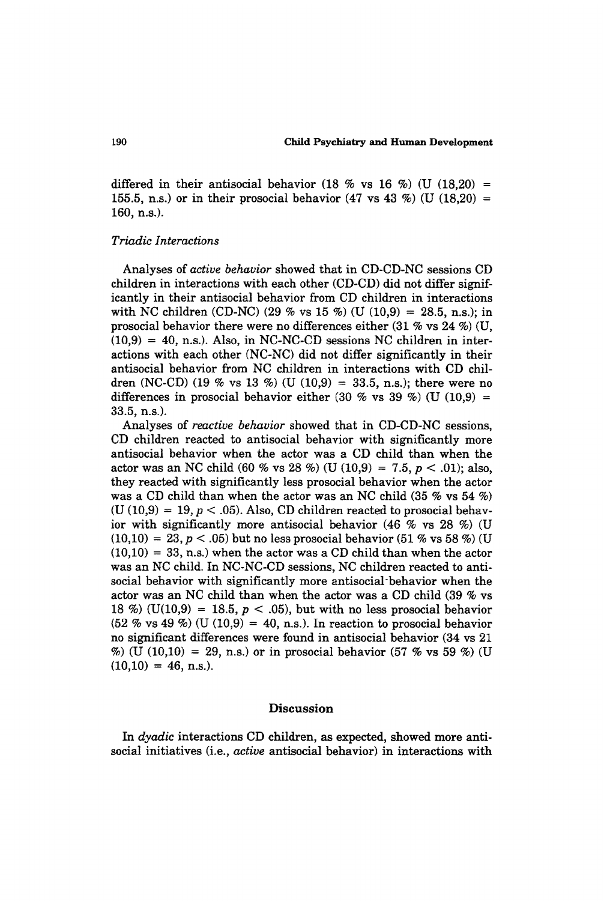differed in their antisocial behavior (18 % vs 16 %) (U (18.20) = 155.5, n.s.) or in their prosocial behavior  $(47 \text{ vs } 43 \%)$  (U  $(18,20)$  = 160, n.s.).

# *Triadic Interactions*

Analyses of *active behavior* showed that in CD-CD-NC sessions CD children in interactions with each other (CD-CD) did not differ significantly in their antisocial behavior from CD children in interactions with NC children (CD-NC) (29 % vs 15 %) (U (10,9) = 28.5, n.s.); in prosocial behavior there were no differences either  $(31\% \text{ vs } 24\%)$  (U,  $(10,9) = 40$ , n.s.). Also, in NC-NC-CD sessions NC children in interactions with each other (NC-NC) did not differ significantly in their antisocial behavior from NC children in interactions with CD children (NC-CD) (19 % vs 13 %) (U  $(10,9) = 33.5$ , n.s.); there were no differences in prosocial behavior either (30 % vs 39 %) (U (10,9) = 33.5, n.s.).

Analyses of *reactive behavior* showed that in CD-CD-NC sessions, CD children reacted to antisocial behavior with significantly more antisocial behavior when the actor was a CD child than when the actor was an NC child  $(60\%$  vs 28 %) (U  $(10.9) = 7.5$ ,  $p < .01$ ); also, they reacted with significantly less prosocial behavior when the actor was a CD child than when the actor was an NC child (35 % vs 54 %)  $(U (10.9) = 19, p < .05)$ . Also, CD children reacted to prosocial behavior with significantly more antisocial behavior (46 % vs 28 %) (U  $(10,10) = 23, p < .05$ ) but no less prosocial behavior  $(51\% \text{ vs } 58\%)$  (U  $(10,10) = 33$ , n.s.) when the actor was a CD child than when the actor was an NC child. In NC-NC-CD sessions, NC children reacted to antisocial behavior with significantly more antisocial-behavior when the actor was an NC child than when the actor was a CD child (39 % vs 18 %) (U(10,9) = 18.5,  $p < .05$ ), but with no less prosocial behavior  $(52\% \text{ vs } 49\%)$  (U  $(10,9) = 40$ , n.s.). In reaction to prosocial behavior no significant differences were found in antisocial behavior (34 vs 21 %) (U  $(10,10) = 29$ , n.s.) or in prosocial behavior  $(57 % 80)$  (U  $(10,10) = 46$ , n.s.).

#### **Discussion**

In *dyadic* interactions CD children, as expected, showed more antisocial initiatives (i.e., *active* antisocial behavior) in interactions with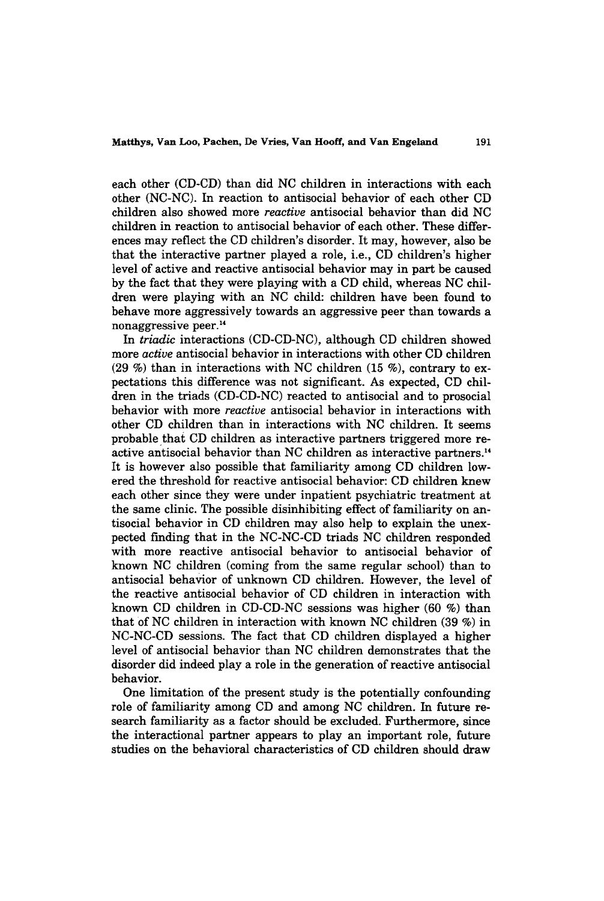each other (CD-CD) than did NC children in interactions with each other (NC-NC). In reaction to antisocial behavior of each other CD children also showed more *reactive* antisocial behavior than did NC children in reaction to antisocial behavior of each other. These differences may reflect the CD children's disorder. It may, however, also be that the interactive partner played a role, i.e., CD children's higher level of active and reactive antisocial behavior may in part be caused by the fact that they were playing with a CD child, whereas NC children were playing with an NC child: children have been found to behave more aggressively towards an aggressive peer than towards a nonaggressive peer. 14

In *triadic* interactions (CD-CD-NC), although CD children showed more *active* antisocial behavior in interactions with other CD children  $(29, %)$  than in interactions with NC children  $(15, %)$ , contrary to expectations this difference was not significant. As expected, CD children in the triads (CD-CD-NC) reacted to antisocial and to prosocial behavior with more *reactive* antisocial behavior in interactions with other CD children than in interactions with NC children. It seems probable that CD children as interactive partners triggered more reactive antisocial behavior than NC children as interactive partners.<sup>14</sup> It is however also possible that familiarity among CD children lowered the threshold for reactive antisocial behavior: CD children knew each other since they were under inpatient psychiatric treatment at the same clinic. The possible disinhibiting effect of familiarity on antisocial behavior in CD children may also help to explain the unexpected finding that in the NC-NC-CD triads NC children responded with more reactive antisocial behavior to antisocial behavior of known NC children (coming from the same regular school) than to antisocial behavior of unknown CD children. However, the level of the reactive antisocial behavior of CD children in interaction with known CD children in CD-CD-NC sessions was higher (60 %) than that of NC children in interaction with known NC children  $(39\%)$  in NC-NC-CD sessions. The fact that CD children displayed a higher level of antisocial behavior than NC children demonstrates that the disorder did indeed play a role in the generation of reactive antisocial behavior.

One limitation of the present study is the potentially confounding role of familiarity among CD and among NC children. In future research familiarity as a factor should be excluded. Furthermore, since the interactional partner appears to play an important role, future studies on the behavioral characteristics of CD children should draw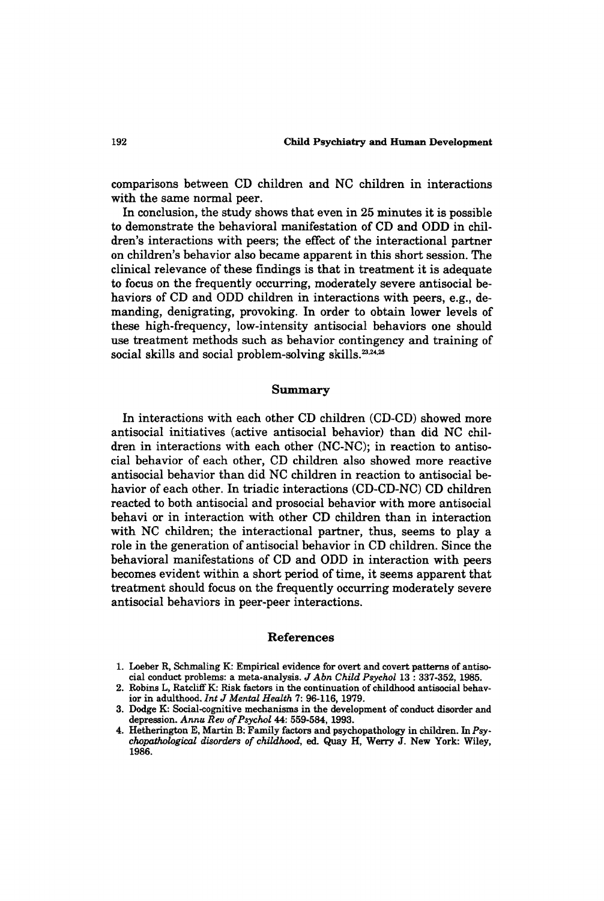comparisons between CD children and NC children in interactions with the same normal peer.

In conclusion, the study shows that even in 25 minutes it is possible to demonstrate the behavioral manifestation of CD and ODD in children's interactions with peers; the effect of the interactional partner on children's behavior also became apparent in this short session. The clinical relevance of these findings is that in treatment it is adequate to focus on the frequently occurring, moderately severe antisocial behaviors of CD and ODD children in interactions with peers, e.g., demanding, denigrating, provoking. In order to obtain lower levels of these high-frequency, low-intensity antisocial behaviors one should use treatment methods such as behavior contingency and training of social skills and social problem-solving skills. $^{23,24,25}$ 

#### Summary

In interactions with each other CD children (CD-CD) showed more antisocial initiatives (active antisocial behavior) than did NC children in interactions with each other (NC-NC); in reaction to antisocial behavior of each other, CD children also showed more reactive antisocial behavior than did NC children in reaction to antisocial behavior of each other. In triadic interactions (CD-CD-NC) CD children reacted to both antisocial and prosocial behavior with more antisocial behavi or in interaction with other CD children than in interaction with NC children; the interactional partner, thus, seems to play a role in the generation of antisocial behavior in CD children. Since the behavioral manifestations of CD and ODD in interaction with peers becomes evident within a short period of time, it seems apparent that treatment should focus on the frequently occurring moderately severe antisocial behaviors in peer-peer interactions.

#### **References**

- 1. Loeber R, Schmaling K: Empirical evidence for overt and covert patterns of antisocial conduct problems: a meta-analysis. *J Abn Child Psychol* 13 : 337-352, 1985.
- 2. Robins L, Ratcliff K: Risk factors in the continuation of childhood antisocial behavior in adulthood. *Int J Mental Health* 7: 96-116, 1979.
- 3. Dodge K: Social-cognitive mechanisms in the development of conduct disorder and depression. *Annu Rev of Psychol 44: 559-584*, 1993.
- 4. Hetherington E, Martin B: Family factors and psychopathology in children. In Psy*chopathological disorders of childhood, ed.* Quay H, Werry J. New York: Wiley, 1986.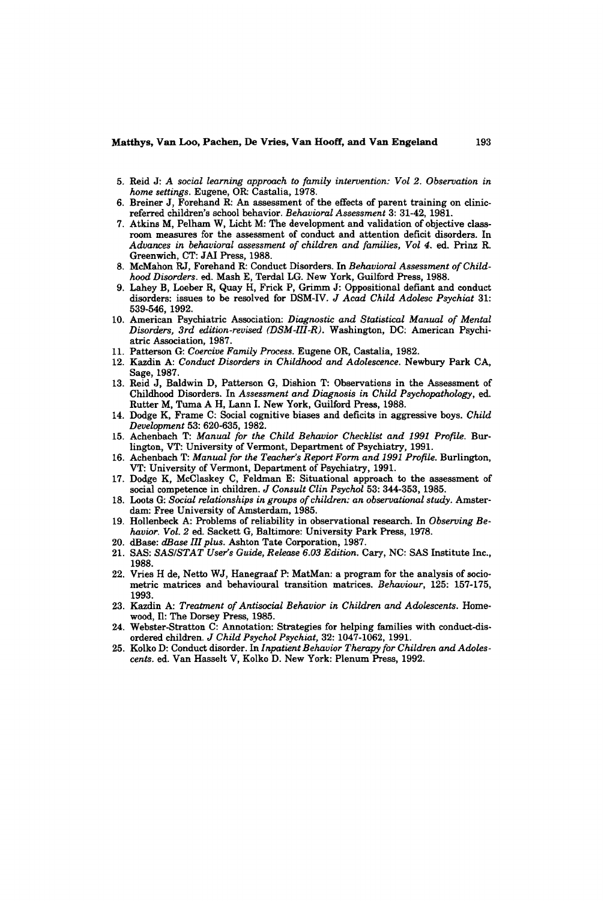#### **Matthys, Van Loo, Pachen, De Vries, Van Hooff, and Van Engeland 193**

- 5. Reid J: *A social learning approach to family intervention: Vol 2. Observation in home settings.* Eugene, OR: Castalia, 1978.
- 6. Breiner J, Forehand R: An assessment of the effects of parent training on clinicreferred children's school behavior. *Behavioral Assessment* 3: 31-42, 1981.
- 7. Atkins M, Pelham W, Licht M: The development and validation of objective classroom measures for the assessment of conduct and attention deficit disorders. In *Advances in behavioral assessment of children and families, Vol 4.* ed. Prinz R. Greenwich, CT: JAI Press, 1988.
- 8. McMahon RJ, Forehand R: Conduct Disorders. In *Behavioral Assessment of Childhood Disorders. ed.* Mash E, Terdal LG. New York, Guilford Press, 1988.
- 9. Lahey B, Loeber R, Quay H, Frick P, Grimm J: Oppositional defiant and conduct disorders: issues to be resolved for DSM-IV. *J Aead Child Adolesc Psychiat* 31: 539-546, 1992.
- 10. American Psychiatric Association: *Diagnostic and Statistical Manual of Mental Disorders, 3rd edition-revised (DSM-III-R).* Washington, DC: American Psychiatric Association, 1987.
- 11. Patterson G: *Coercive Family Process.* Eugene OR, Castalia, 1982.
- 12. Kazdin A: *Conduct Disorders in Childhood and Adolescence.* Newbury Park CA, Sage, 1987.
- 13. Reid J, Baldwin D, Patterson G, Dishion T: Observations in the Assessment of Childhood Disorders. In *Assessment and Diagnosis in Child Psychopathology, ed.*  Rutter M, Tuma A H, Lann I. New York, Guilford Press, 1988.
- I4. Dodge K, Frame C: Social cognitive biases and deficits in aggressive boys. *Child Development* 53: 620-635, 1982.
- 15. Achenbach T: *Manual for the Child Behavior Checklist and 1991 Profile. Bur*lington, VT: University of Vermont, Department of Psychiatry, 1991.
- 16. Achenbach T: *Manual for the Teacher's Report Form and 1991 Profile.* Burlington, VT: University of Vermont, Department of Psychiatry, 1991.
- 17. Dodge K, McClaskey C, Fetdman E: Situational approach to the assessment of social competence in children. *J Consult Clin Psychol* 53: 344-353, 1985.
- 18. Loots G: *Social relationships in groups of children: an observational study.* Amsterdam: Free University of Amsterdam, 1985.
- 19. Hollenbeck A: Problems of reliability in observational research. In *Observing Behavior. Vol. 2 ed.* Sackett G, Baltimore: University Park Press, 1978.
- 20. dBase: dBase *IIIplus.* Ashton Tate Corporation, 1987.
- 21. SAS: *SAS/STAT User's Guide, Release 6.03 Edition.* Cary, NC: SAS Institute Inc., 1988.
- 22. Vries H de, Netto WJ, Hanegraaf P: MatMan: a program for the analysis of sociometric matrices and behavioural transition matrices. *Behaviour,* 125: 157-175, 1993.
- 23. Kazdin A: *Treatment of Antisocial Behavior in Children and Adolescents.* Homewood, Il: The Dorsey Press, 1985.
- 24. Webster-Stratton C: Annotation: Strategies for helping families with conduct-disordered children. *J Child Psychol Psychiat,* 32: 1047-1062, 1991.
- 25. Kolko D: Conduct disorder. In *Inpatient Behavior Therapy for Children and Adolescents,* ed. Van Hasselt V, Kolko D. New York: Plenum Press, 1992.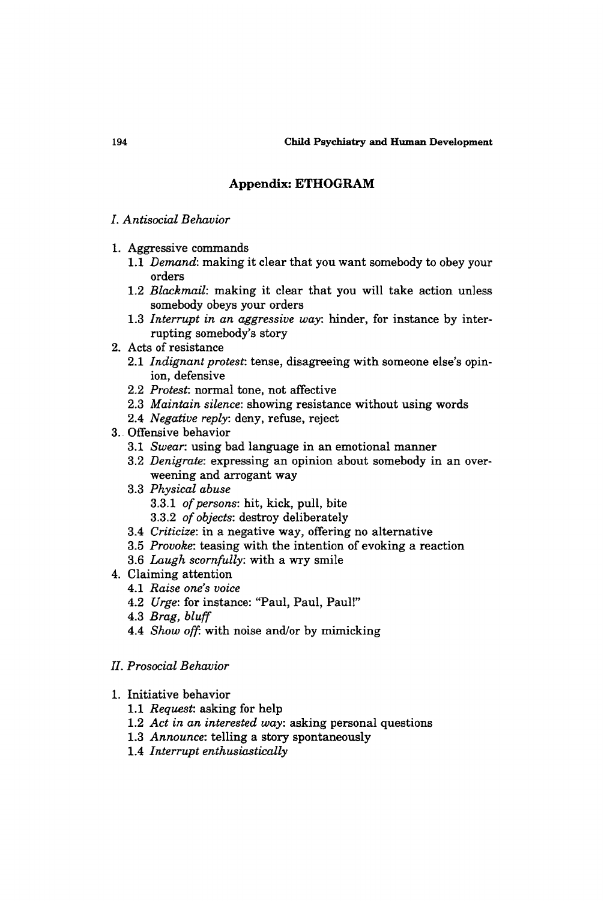# **Appendix: ETHOGRAM**

# *I. Antisocial Behavior*

- 1. Aggressive commands
	- 1.1 *Demand:* making it clear that you want somebody to obey your orders
	- 1.2 *Blackmail:* making it clear that you will take action unless somebody obeys your orders
	- 1.3 *Interrupt in an aggressive way*: hinder, for instance by interrupting somebody's story
- 2. Acts of resistance
	- 2.1 *Indignant protest:* tense, disagreeing with someone else's opinion, defensive
	- 2.2 *Protest:* normal tone, not affective
	- 2.3 *Maintain silence:* showing resistance without using words
	- 2.4 *Negative reply:* deny, refuse, reject
- 3. Offensive behavior
	- 3.1 *Swear:* using bad language in an emotional manner
	- 3.2 *Denigrate:* expressing an opinion about somebody in an overweening and arrogant way
	- 3.3 *Physical abuse* 
		- 3.3.1 *of persons:* hit, kick, pull, bite
		- 3.3.2 *of objects:* destroy deliberately
	- 3.4 *Criticize:* in a negative way, offering no alternative
	- 3.5 *Provoke:* teasing with the intention of evoking a reaction
	- 3.6 *Laugh scornfully:* with a wry smile
- 4. Claiming attention
	- 4.1 *Raise one's voice*
	- 4.2 *Urge:* for instance: "Paul, Paul, Paul!"
	- 4.3 *Brag, bluff*
	- 4.4 *Show off.* with noise and/or by mimicking
- *II. Prosocial Behavior*
- *.* Initiative behavior
	- 1.1 *Request:* asking for help
	- 1.2 *Act in an interested way:* asking personal questions
	- 1.3 *Announce:* telling a story spontaneously
	- 1.4 *Interrupt enthusiastically*